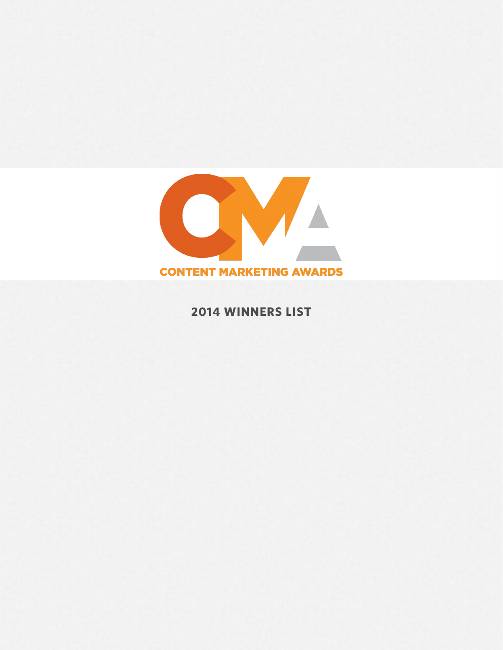

**2014 WINNERS LIST**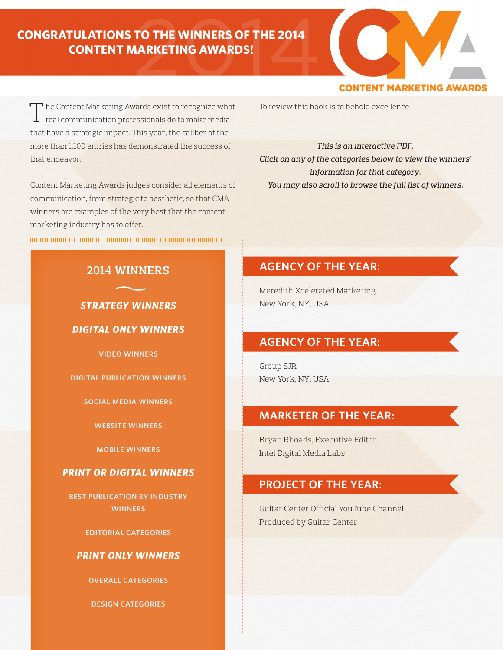# 2014 **CONGRATULATIONS TO THE WINNERS OF THE 2014 CONTENT MARKETING AWARDS!**

# **CONTENT MARKETING AWAR**

To review this book is to behold excellence.

*This is an interactive PDF. Click on any of the categories below to view the winners' information for that category. You may also scroll to browse the full list of winners.*

# **AGENCY OF THE YEAR:**

Meredith Xcelerated Marketing New York, NY, USA

# **AGENCY OF THE YEAR:**

Group SJR New York, NY, USA

# **MARKETER OF THE YEAR:**

Bryan Rhoads, Executive Editor, Intel Digital Media Labs

# **PROJECT OF THE YEAR:**

Guitar Center Official YouTube Channel Produced by Guitar Center

The Content Marketing Awards exist to recognize what  $\perp$  real communication professionals do to make media that have a strategic impact. This year, the caliber of the more than 1,100 entries has demonstrated the success of that endeavor.

Content Marketing Awards judges consider all elements of communication, from strategic to aesthetic, so that CMA winners are examples of the very best that the content marketing industry has to offer.

# **2014 WINNERS**

# *STRATEGY WINNERS*

# *DIGITAL ONLY WINNERS*

**VIDEO WINNERS**

# **DIGITAL PUBLICATION WINNERS**

# **SOCIAL MEDIA WINNERS**

# **WEBSITE WINNERS**

**MOBILE WINNERS**

# *PRINT OR DIGITAL WINNERS*

**BEST PUBLICATION BY INDUSTRY WINNERS**

# **EDITORIAL CATEGORIES**

# *PRINT ONLY WINNERS*

**OVERALL CATEGORIES**

# **DESIGN CATEGORIES**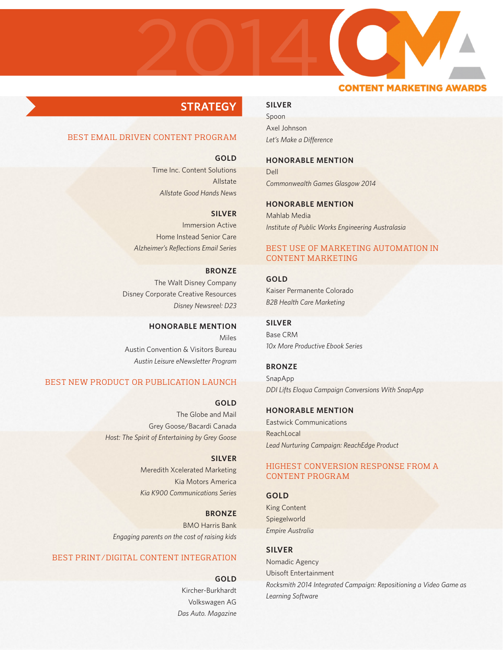

# **STRATEGY**

# BEST EMAIL DRIVEN CONTENT PROGRAM

**GOLD**

Time Inc. Content Solutions Allstate *Allstate Good Hands News*

**SILVER**

Immersion Active Home Instead Senior Care *Alzheimer's Reflections Email Series*

**BRONZE** The Walt Disney Company Disney Corporate Creative Resources *Disney Newsreel: D23*

**HONORABLE MENTION** Miles Austin Convention & Visitors Bureau *Austin Leisure eNewsletter Program*

# BEST NEW PRODUCT OR PUBLICATION LAUNCH

**GOLD** The Globe and Mail Grey Goose/Bacardi Canada *Host: The Spirit of Entertaining by Grey Goose*

**SILVER**

Meredith Xcelerated Marketing Kia Motors America *Kia K900 Communications Series*

**BRONZE** BMO Harris Bank *Engaging parents on the cost of raising kids*

# BEST PRINT/DIGITAL CONTENT INTEGRATION

**GOLD**

Kircher-Burkhardt Volkswagen AG *Das Auto. Magazine*

### **SILVER**

Spoon Axel Johnson *Let's Make a Difference*

### **HONORABLE MENTION**

Dell *Commonwealth Games Glasgow 2014*

# **HONORABLE MENTION**

Mahlab Media *Institute of Public Works Engineering Australasia*

# BEST USE OF MARKETING AUTOMATION IN CONTENT MARKETING

**GOLD** Kaiser Permanente Colorado *B2B Health Care Marketing*

**SILVER** Base CRM *10x More Productive Ebook Series*

**BRONZE** SnapApp *DDI Lifts Eloqua Campaign Conversions With SnapApp*

**HONORABLE MENTION** Eastwick Communications **ReachLocal** *Lead Nurturing Campaign: ReachEdge Product*

# HIGHEST CONVERSION RESPONSE FROM A CONTENT PROGRAM

# **GOLD**

King Content Spiegelworld *Empire Australia*

**SILVER**

Nomadic Agency Ubisoft Entertainment *Rocksmith 2014 Integrated Campaign: Repositioning a Video Game as Learning Software*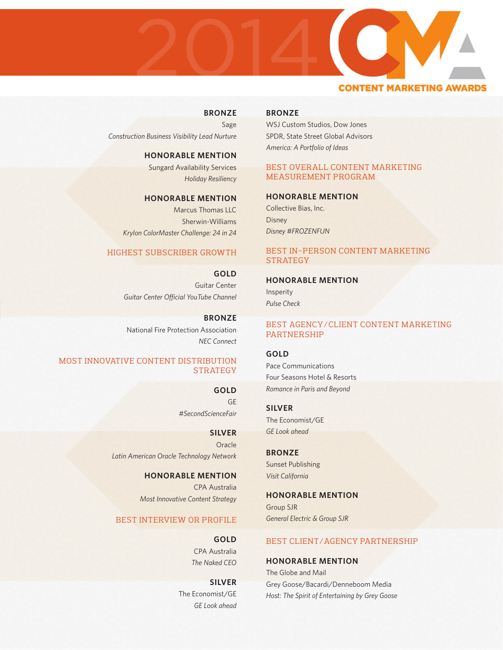

# **BRONZE**

Sage *Construction Business Visibility Lead Nurture*

> **HONORABLE MENTION** Sungard Availability Services

*Holiday Resiliency*

**HONORABLE MENTION**

Marcus Thomas LLC Sherwin-Williams *Krylon ColorMaster Challenge: 24 in 24* 

# HIGHEST SUBSCRIBER GROWTH

**GOLD** Guitar Center *Guitar Center Official YouTube Channel*

**BRONZE** National Fire Protection Association *NEC Connect*

# MOST INNOVATIVE CONTENT DISTRIBUTION **STRATEGY**

**GOLD** GE *#SecondScienceFair*

**SILVER Oracle** *Latin American Oracle Technology Network*

> **HONORABLE MENTION** CPA Australia *Most Innovative Content Strategy*

# BEST INTERVIEW OR PROFILE

**GOLD** CPA Australia *The Naked CEO*

**SILVER** The Economist/GE *GE Look ahead*

# **BRONZE**

WSJ Custom Studios, Dow Jones SPDR, State Street Global Advisors *America: A Portfolio of Ideas*

# BEST OVERALL CONTENT MARKETING MEASUREMENT PROGRAM

**HONORABLE MENTION**

Collective Bias, Inc. **Disney** *Disney #FROZENFUN*

# BEST IN-PERSON CONTENT MARKETING **STRATEGY**

# **HONORABLE MENTION**

Insperity *Pulse Check*

# BEST AGENCY/CLIENT CONTENT MARKETING PARTNERSHIP

**GOLD**

Pace Communications Four Seasons Hotel & Resorts *Romance in Paris and Beyond*

**SILVER** The Economist/GE *GE Look ahead*

**BRONZE** Sunset Publishing *Visit California*

**HONORABLE MENTION**

Group SJR *General Electric & Group SJR*

# BEST CLIENT/AGENCY PARTNERSHIP

**HONORABLE MENTION**

The Globe and Mail Grey Goose/Bacardi/Denneboom Media *Host: The Spirit of Entertaining by Grey Goose*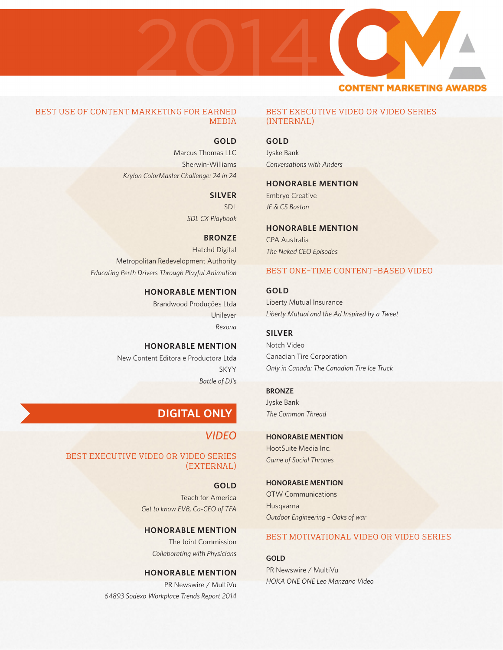

# BEST USE OF CONTENT MARKETING FOR EARNED MEDIA

# **GOLD**

Marcus Thomas LLC Sherwin-Williams *Krylon ColorMaster Challenge: 24 in 24*

# **SILVER**

SDL *SDL CX Playbook*

# **BRONZE**

Hatchd Digital Metropolitan Redevelopment Authority *Educating Perth Drivers Through Playful Animation*

# **HONORABLE MENTION**

Brandwood Produções Ltda Unilever *Rexona*

# **HONORABLE MENTION**

New Content Editora e Productora Ltda SKYY *Battle of DJ's*

# **DIGITAL ONLY**

# *VIDEO*

# BEST EXECUTIVE VIDEO OR VIDEO SERIES (EXTERNAL)

**GOLD** Teach for America *Get to know EVB, Co-CEO of TFA*

# **HONORABLE MENTION**

The Joint Commission *Collaborating with Physicians*

# **HONORABLE MENTION** PR Newswire / MultiVu *64893 Sodexo Workplace Trends Report 2014*

# BEST EXECUTIVE VIDEO OR VIDEO SERIES (INTERNAL)

# **GOLD**

Jyske Bank *Conversations with Anders*

# **HONORABLE MENTION**

Embryo Creative *JF & CS Boston*

# **HONORABLE MENTION**

CPA Australia *The Naked CEO Episodes*

# BEST ONE-TIME CONTENT-BASED VIDEO

**GOLD** Liberty Mutual Insurance *Liberty Mutual and the Ad Inspired by a Tweet*

# **SILVER**

Notch Video Canadian Tire Corporation *Only in Canada: The Canadian Tire Ice Truck*

# **BRONZE**

Jyske Bank *The Common Thread*

# **HONORABLE MENTION**

HootSuite Media Inc. *Game of Social Thrones*

# **HONORABLE MENTION**

OTW Communications Husqvarna *Outdoor Engineering – Oaks of war*

# BEST MOTIVATIONAL VIDEO OR VIDEO SERIES

**GOLD** PR Newswire / MultiVu *HOKA ONE ONE Leo Manzano Video*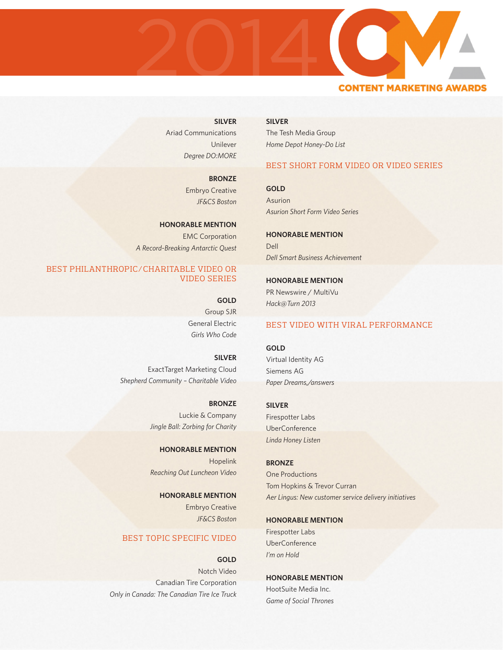

**SILVER** Ariad Communications Unilever *Degree DO:MORE*

> **BRONZE** Embryo Creative *JF&CS Boston*

**HONORABLE MENTION** EMC Corporation *A Record-Breaking Antarctic Quest*

# BEST PHILANTHROPIC/CHARITABLE VIDEO OR VIDEO SERIES

**GOLD** Group SJR General Electric *Girls Who Code*

**SILVER** ExactTarget Marketing Cloud *Shepherd Community – Charitable Video*

> **BRONZE** Luckie & Company *Jingle Ball: Zorbing for Charity*

**HONORABLE MENTION** Hopelink *Reaching Out Luncheon Video*

**HONORABLE MENTION** Embryo Creative *JF&CS Boston*

# BEST TOPIC SPECIFIC VIDEO

**GOLD** Notch Video Canadian Tire Corporation *Only in Canada: The Canadian Tire Ice Truck* **SILVER** The Tesh Media Group *Home Depot Honey-Do List*

# BEST SHORT FORM VIDEO OR VIDEO SERIES

**GOLD** Asurion *Asurion Short Form Video Series*

**HONORABLE MENTION** Dell *Dell Smart Business Achievement*

**HONORABLE MENTION** PR Newswire / MultiVu *Hack@Turn 2013*

# BEST VIDEO WITH VIRAL PERFORMANCE

**GOLD** Virtual Identity AG Siemens AG *Paper Dreams,/answers*

# **SILVER**

Firespotter Labs UberConference *Linda Honey Listen*

**BRONZE** One Productions Tom Hopkins & Trevor Curran *Aer Lingus: New customer service delivery initiatives*

# **HONORABLE MENTION**

Firespotter Labs UberConference *I'm on Hold*

**HONORABLE MENTION** HootSuite Media Inc. *Game of Social Thrones*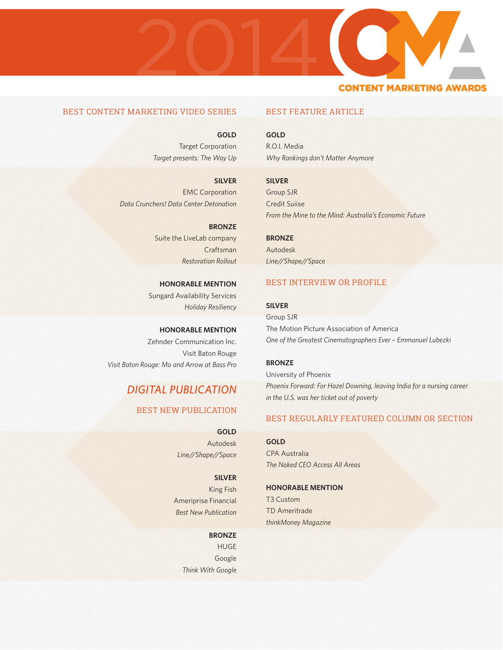

# BEST CONTENT MARKETING VIDEO SERIES

**GOLD** Target Corporation *Target presents: The Way Up*

**SILVER** EMC Corporation *Data Crunchers! Data Center Detonation*

> **BRONZE** Suite the LiveLab company Craftsman *Restoration Rollout*

**HONORABLE MENTION** Sungard Availability Services *Holiday Resiliency*

**HONORABLE MENTION** Zehnder Communication Inc. Visit Baton Rouge *Visit Baton Rouge: Mo and Arrow at Bass Pro*

# *DIGITAL PUBLICATION*

# BEST NEW PUBLICATION

**GOLD** Autodesk *Line//Shape//Space*

# **SILVER**

King Fish Ameriprise Financial *Best New Publication*

### **BRONZE**

HUGE Google *Think With Google*

# BEST FEATURE ARTICLE

**GOLD** R.O.I. Media *Why Rankings don't Matter Anymore*

**SILVER** Group SJR Credit Suiise *From the Mine to the Mind: Australia's Economic Future*

**BRONZE** Autodesk *Line//Shape//Space*

# BEST INTERVIEW OR PROFILE

# **SILVER**

Group SJR The Motion Picture Association of America *One of the Greatest Cinematographers Ever – Emmanuel Lubezki*

# **BRONZE**

University of Phoenix *Phoenix Forward: For Hazel Downing, leaving India for a nursing career in the U.S. was her ticket out of poverty*

# BEST REGULARLY FEATURED COLUMN OR SECTION

**GOLD** CPA Australia *The Naked CEO Access All Areas*

# **HONORABLE MENTION**

T3 Custom TD Ameritrade *thinkMoney Magazine*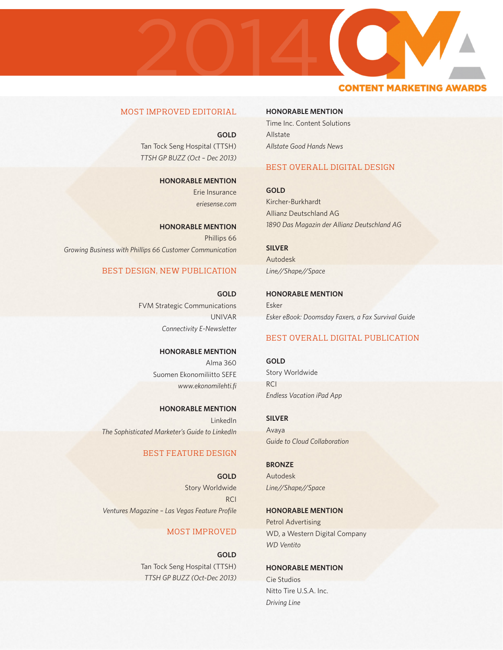# 20142013 **CONTENT MARKETING AWAR**

# MOST IMPROVED EDITORIAL

**GOLD** Tan Tock Seng Hospital (TTSH) *TTSH GP BUZZ (Oct – Dec 2013)*

> **HONORABLE MENTION** Erie Insurance *eriesense.com*

**HONORABLE MENTION** Phillips 66 *Growing Business with Phillips 66 Customer Communication*

# BEST DESIGN, NEW PUBLICATION

**GOLD** FVM Strategic Communications UNIVAR *Connectivity E-Newsletter*

> **HONORABLE MENTION** Alma 360 Suomen Ekonomiliitto SEFE *www.ekonomilehti.fi*

**HONORABLE MENTION** LinkedIn *The Sophisticated Marketer's Guide to LinkedIn*

# BEST FEATURE DESIGN

**GOLD** Story Worldwide **RCI** *Ventures Magazine – Las Vegas Feature Profile*

# MOST IMPROVED

**GOLD** Tan Tock Seng Hospital (TTSH) *TTSH GP BUZZ (Oct-Dec 2013)* **HONORABLE MENTION**

Time Inc. Content Solutions Allstate *Allstate Good Hands News*

# BEST OVERALL DIGITAL DESIGN

**GOLD** Kircher-Burkhardt Allianz Deutschland AG *1890 Das Magazin der Allianz Deutschland AG*

**SILVER** Autodesk *Line//Shape//Space*

**HONORABLE MENTION** Esker *Esker eBook: Doomsday Faxers, a Fax Survival Guide*

# BEST OVERALL DIGITAL PUBLICATION

**GOLD** Story Worldwide **RCI** *Endless Vacation iPad App*

**SILVER** Avaya

*Guide to Cloud Collaboration*

**BRONZE** Autodesk *Line//Shape//Space*

**HONORABLE MENTION** Petrol Advertising WD, a Western Digital Company *WD Ventito*

**HONORABLE MENTION** Cie Studios Nitto Tire U.S.A. Inc. *Driving Line*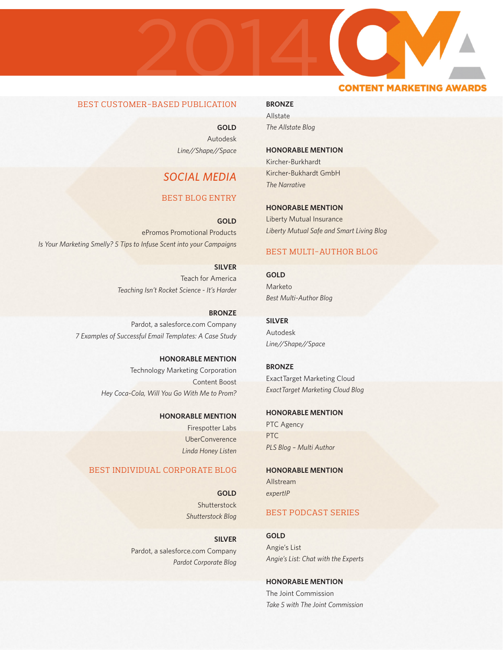# BEST CUSTOMER-BASED PUBLICATION

**GOLD** Autodesk *Line//Shape//Space*

2013

2014

# *SOCIAL MEDIA*

# BEST BLOG ENTRY

**GOLD** ePromos Promotional Products *Is Your Marketing Smelly? 5 Tips to Infuse Scent into your Campaigns*

> **SILVER** Teach for America *Teaching Isn't Rocket Science - It's Harder*

**BRONZE** Pardot, a salesforce.com Company *7 Examples of Successful Email Templates: A Case Study*

> **HONORABLE MENTION** Technology Marketing Corporation Content Boost *Hey Coca-Cola, Will You Go With Me to Prom?*

> > **HONORABLE MENTION** Firespotter Labs UberConverence *Linda Honey Listen*

# BEST INDIVIDUAL CORPORATE BLOG

**GOLD** Shutterstock *Shutterstock Blog*

**SILVER** Pardot, a salesforce.com Company *Pardot Corporate Blog*

### **BRONZE**

Allstate *The Allstate Blog*

### **HONORABLE MENTION**

Kircher-Burkhardt Kircher-Bukhardt GmbH *The Narrative*

**HONORABLE MENTION**

Liberty Mutual Insurance *Liberty Mutual Safe and Smart Living Blog*

# BEST MULTI-AUTHOR BLOG

**GOLD** Marketo *Best Multi-Author Blog*

**SILVER** Autodesk *Line//Shape//Space*

**BRONZE** ExactTarget Marketing Cloud *ExactTarget Marketing Cloud Blog*

# **HONORABLE MENTION**

PTC Agency PTC *PLS Blog – Multi Author*

**HONORABLE MENTION** Allstream *expertIP*

# BEST PODCAST SERIES

# **GOLD**

Angie's List *Angie's List: Chat with the Experts*

**HONORABLE MENTION**

The Joint Commission *Take 5 with The Joint Commission*

# **CONTENT MARKETING AWAR**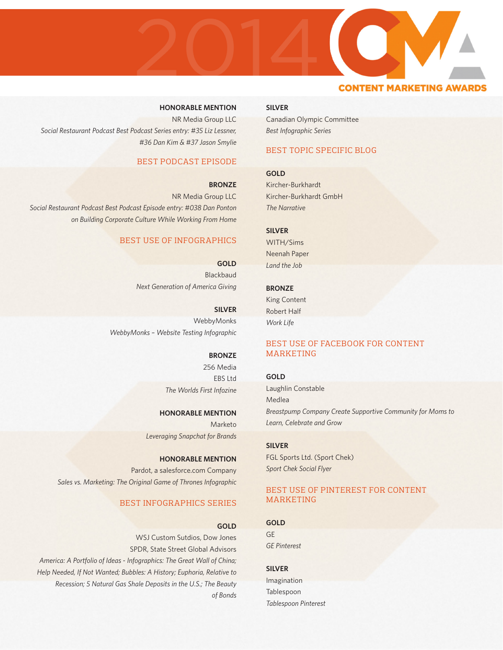# **HONORABLE MENTION**

NR Media Group LLC *Social Restaurant Podcast Best Podcast Series entry: #35 Liz Lessner, #36 Dan Kim & #37 Jason Smylie*

# BEST PODCAST EPISODE

### **BRONZE**

2013

2014

NR Media Group LLC *Social Restaurant Podcast Best Podcast Episode entry: #038 Dan Ponton on Building Corporate Culture While Working From Home*

# BEST USE OF INFOGRAPHICS

**GOLD** Blackbaud *Next Generation of America Giving*

**SILVER** WebbyMonks *WebbyMonks – Website Testing Infographic*

### **BRONZE**

256 Media EBS Ltd *The Worlds First Infozine*

### **HONORABLE MENTION**

Marketo *Leveraging Snapchat for Brands*

**HONORABLE MENTION** Pardot, a salesforce.com Company *Sales vs. Marketing: The Original Game of Thrones Infographic*

# BEST INFOGRAPHICS SERIES

### **GOLD**

WSJ Custom Sutdios, Dow Jones SPDR, State Street Global Advisors *America: A Portfolio of Ideas - Infographics: The Great Wall of China; Help Needed, If Not Wanted; Bubbles: A History; Euphoria, Relative to Recession; 5 Natural Gas Shale Deposits in the U.S.; The Beauty of Bonds*

### **SILVER**

Canadian Olympic Committee *Best Infographic Series*

# BEST TOPIC SPECIFIC BLOG

**CONTENT MARKETING AWA** 

# **GOLD**

Kircher-Burkhardt Kircher-Burkhardt GmbH *The Narrative*

# **SILVER**

WITH/Sims Neenah Paper *Land the Job*

### **BRONZE**

King Content Robert Half *Work Life*

# BEST USE OF FACEBOOK FOR CONTENT MARKETING

### **GOLD**

Laughlin Constable Medlea *Breastpump Company Create Supportive Community for Moms to Learn, Celebrate and Grow*

# **SILVER**

FGL Sports Ltd. (Sport Chek) *Sport Chek Social Flyer*

# BEST USE OF PINTEREST FOR CONTENT MARKETING

# **GOLD**

GE *GE Pinterest*

### **SILVER**

Imagination Tablespoon *Tablespoon Pinterest*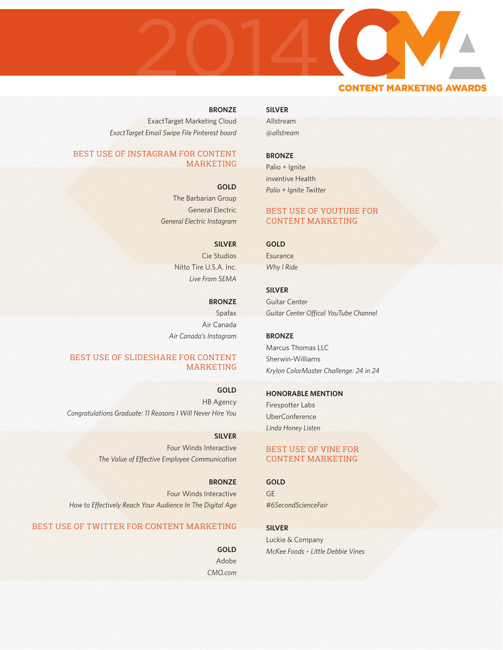

# **CONTENT MARKETING AWAR**

# **BRONZE**

2013

ExactTarget Marketing Cloud *ExactTarget Email Swipe File Pinterest board*

# BEST USE OF INSTAGRAM FOR CONTENT MARKETING

**GOLD**

The Barbarian Group General Electric *General Electric Instagram*

# **SILVER**

Cie Studios Nitto Tire U.S.A. Inc. *Live From SEMA*

**BRONZE** Spafax Air Canada *Air Canada's Instagram*

# BEST USE OF SLIDESHARE FOR CONTENT MARKETING

**GOLD** HB Agency *Congratulations Graduate: 11 Reasons I Will Never Hire You*

> **SILVER** Four Winds Interactive *The Value of Effective Employee Communication*

**BRONZE** Four Winds Interactive *How to Effectively Reach Your Audience In The Digital Age*

# BEST USE OF TWITTER FOR CONTENT MARKETING

**GOLD** Adobe *CMO.com*

# **SILVER**

Allstream *@allstream*

# **BRONZE**

Palio + Ignite inventive Health *Palio + Ignite Twitter*

# BEST USE OF YOUTUBE FOR CONTENT MARKETING

### **GOLD**

**Esurance** *Why I Ride*

# **SILVER**

Guitar Center *Guitar Center Offical YouTube Channel*

**BRONZE**

Marcus Thomas LLC Sherwin-Williams *Krylon ColorMaster Challenge: 24 in 24*

# **HONORABLE MENTION**

Firespotter Labs UberConference *Linda Honey Listen*

# BEST USE OF VINE FOR CONTENT MARKETING

**GOLD** GE *#6SecondScienceFair*

**SILVER**

Luckie & Company *McKee Foods – Little Debbie Vines*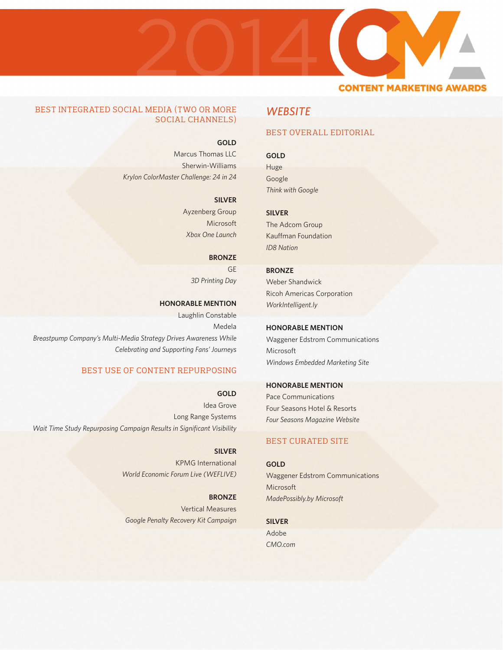

# BEST INTEGRATED SOCIAL MEDIA (TWO OR MORE SOCIAL CHANNELS)

**GOLD**

Marcus Thomas LLC Sherwin-Williams *Krylon ColorMaster Challenge: 24 in 24*

### **SILVER**

Ayzenberg Group Microsoft *Xbox One Launch*

**BRONZE**

GE *3D Printing Day*

**HONORABLE MENTION**

Laughlin Constable Medela *Breastpump Company's Multi-Media Strategy Drives Awareness While Celebrating and Supporting Fans' Journeys*

# BEST USE OF CONTENT REPURPOSING

**GOLD** Idea Grove Long Range Systems *Wait Time Study Repurposing Campaign Results in Significant Visibility*

> **SILVER** KPMG International *World Economic Forum Live (WEFLIVE)*

**BRONZE** Vertical Measures *Google Penalty Recovery Kit Campaign*

# *WEBSITE*

# BEST OVERALL EDITORIAL

# **GOLD**

Huge Google *Think with Google*

**SILVER**

The Adcom Group Kauffman Foundation *ID8 Nation*

### **BRONZE**

Weber Shandwick Ricoh Americas Corporation *WorkIntelligent.ly*

# **HONORABLE MENTION**

Waggener Edstrom Communications Microsoft *Windows Embedded Marketing Site*

# **HONORABLE MENTION**

Pace Communications Four Seasons Hotel & Resorts *Four Seasons Magazine Website*

# BEST CURATED SITE

### **GOLD**

Waggener Edstrom Communications Microsoft *MadePossibly.by Microsoft*

**SILVER** Adobe

*CMO.com*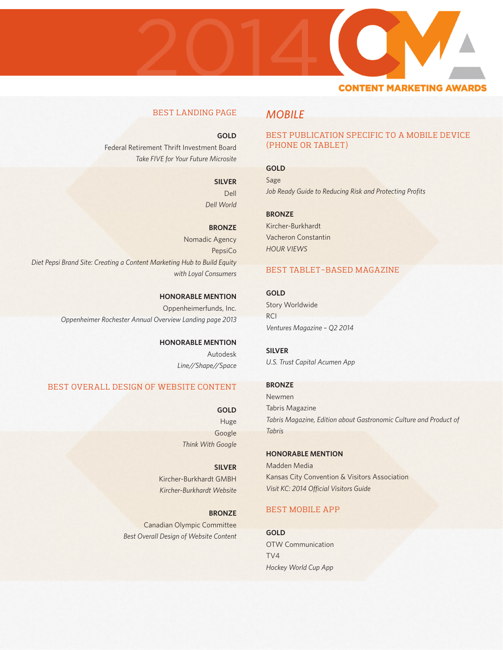

# BEST LANDING PAGE

# **GOLD**

Federal Retirement Thrift Investment Board *Take FIVE for Your Future Microsite*

# **SILVER**

Dell *Dell World*

### **BRONZE**

Nomadic Agency PepsiCo *Diet Pepsi Brand Site: Creating a Content Marketing Hub to Build Equity with Loyal Consumers*

> **HONORABLE MENTION** Oppenheimerfunds, Inc. *Oppenheimer Rochester Annual Overview Landing page 2013*

> > **HONORABLE MENTION** Autodesk *Line//Shape//Space*

# BEST OVERALL DESIGN OF WEBSITE CONTENT

**GOLD** Huge Google *Think With Google*

**SILVER** Kircher-Burkhardt GMBH *Kircher-Burkhardt Website*

**BRONZE** Canadian Olympic Committee *Best Overall Design of Website Content*

# *MOBILE*

# BEST PUBLICATION SPECIFIC TO A MOBILE DEVICE (PHONE OR TABLET)

# **GOLD**

Sage *Job Ready Guide to Reducing Risk and Protecting Profits*

### **BRONZE**

Kircher-Burkhardt Vacheron Constantin *HOUR VIEWS*

# BEST TABLET-BASED MAGAZINE

**GOLD** Story Worldwide **RCI** *Ventures Magazine – Q2 2014*

**SILVER** *U.S. Trust Capital Acumen App*

### **BRONZE**

Newmen Tabris Magazine *Tabris Magazine, Edition about Gastronomic Culture and Product of Tabris*

# **HONORABLE MENTION**

Madden Media Kansas City Convention & Visitors Association *Visit KC: 2014 Official Visitors Guide*

# BEST MOBILE APP

**GOLD** OTW Communication TV4 *Hockey World Cup App*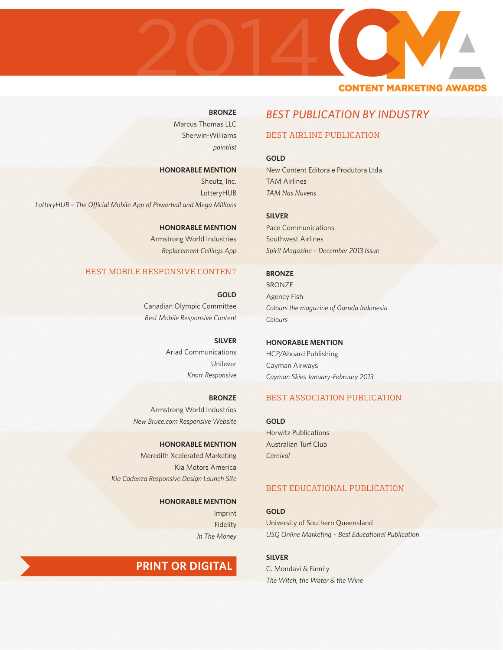

# **BRONZE**

Marcus Thomas LLC Sherwin-Williams *paintlist*

### **HONORABLE MENTION**

Shoutz, Inc. LotteryHUB *LotteryHUB – The Official Mobile App of Powerball and Mega Millions*

> **HONORABLE MENTION** Armstrong World Industries *Replacement Ceilings App*

# BEST MOBILE RESPONSIVE CONTENT

**GOLD** Canadian Olympic Committee *Best Mobile Responsive Content*

> **SILVER** Ariad Communications Unilever *Knorr Responsive*

**BRONZE** Armstrong World Industries *New Bruce.com Responsive Website*

**HONORABLE MENTION** Meredith Xcelerated Marketing Kia Motors America *Kia Cadenza Responsive Design Launch Site*

> **HONORABLE MENTION** Imprint Fidelity *In The Money*

# **PRINT OR DIGITAL**

# *BEST PUBLICATION BY INDUSTRY*

# BEST AIRLINE PUBLICATION

**GOLD** New Content Editora e Produtora Ltda TAM Airlines *TAM Nas Nuvens*

**SILVER**

Pace Communications Southwest Airlines *Spirit Magazine – December 2013 Issue*

**BRONZE** BRONZE Agency Fish *Colours the magazine of Garuda Indonesia Colours*

**HONORABLE MENTION** HCP/Aboard Publishing Cayman Airways *Cayman Skies January-February 2013*

# BEST ASSOCIATION PUBLICATION

**GOLD** Horwitz Publications Australian Turf Club *Carnival*

# BEST EDUCATIONAL PUBLICATION

**GOLD** University of Southern Queensland *USQ Online Marketing – Best Educational Publication*

**SILVER** C. Mondavi & Family *The Witch, the Water & the Wine*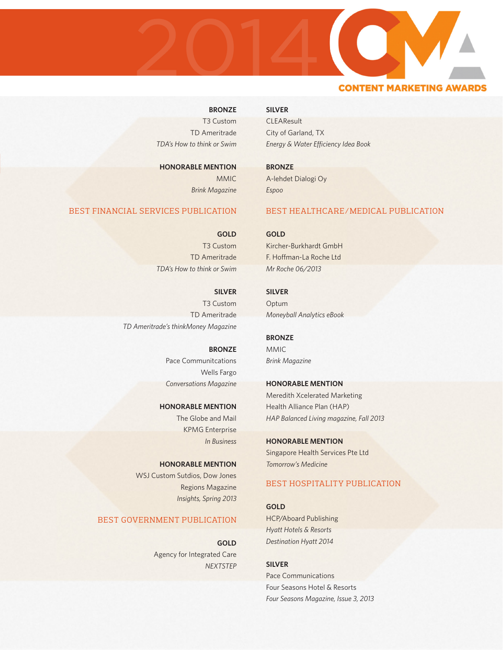

# **BRONZE**

T3 Custom TD Ameritrade *TDA's How to think or Swim*

**HONORABLE MENTION** MMIC *Brink Magazine*

# BEST FINANCIAL SERVICES PUBLICATION

**GOLD** T3 Custom TD Ameritrade *TDA's How to think or Swim*

**SILVER** T3 Custom TD Ameritrade *TD Ameritrade's thinkMoney Magazine*

> **BRONZE** Pace Communitcations Wells Fargo *Conversations Magazine*

**HONORABLE MENTION** The Globe and Mail KPMG Enterprise *In Business*

**HONORABLE MENTION** WSJ Custom Sutdios, Dow Jones Regions Magazine *Insights, Spring 2013*

# BEST GOVERNMENT PUBLICATION

**GOLD** Agency for Integrated Care *NEXTSTEP*

# **SILVER**

**CLEAResult** City of Garland, TX *Energy & Water Efficiency Idea Book*

**BRONZE** A-lehdet Dialogi Oy *Espoo*

# BEST HEALTHCARE/MEDICAL PUBLICATION

**GOLD**

Kircher-Burkhardt GmbH F. Hoffman-La Roche Ltd *Mr Roche 06/2013*

# **SILVER**

Optum *Moneyball Analytics eBook*

**BRONZE** MMIC *Brink Magazine*

**HONORABLE MENTION**

Meredith Xcelerated Marketing Health Alliance Plan (HAP) *HAP Balanced Living magazine, Fall 2013*

**HONORABLE MENTION** Singapore Health Services Pte Ltd *Tomorrow's Medicine*

# BEST HOSPITALITY PUBLICATION

**GOLD** HCP/Aboard Publishing *Hyatt Hotels & Resorts Destination Hyatt 2014*

**SILVER** Pace Communications Four Seasons Hotel & Resorts *Four Seasons Magazine, Issue 3, 2013*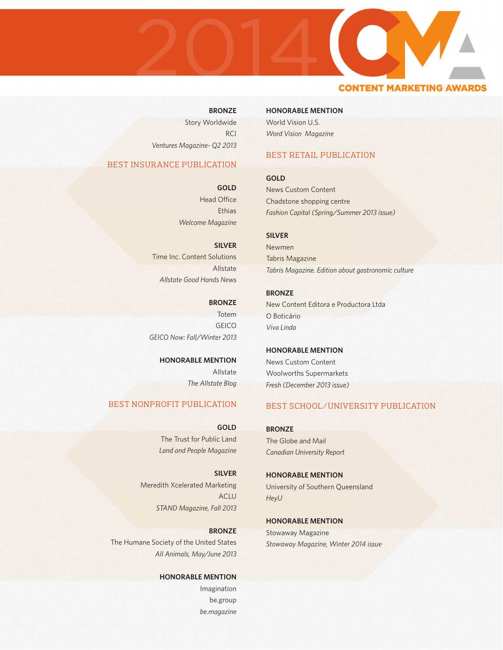

# **CONTENT MARKETING AWARI**

### **BRONZE**

Story Worldwide **RCI** *Ventures Magazine- Q2 2013*

# BEST INSURANCE PUBLICATION

**GOLD** Head Office **Ethias** *Welcome Magazine*

**SILVER** Time Inc. Content Solutions Allstate *Allstate Good Hands News*

**BRONZE** Totem **GEICO** *GEICO Now: Fall/Winter 2013*

> **HONORABLE MENTION** Allstate *The Allstate Blog*

# BEST NONPROFIT PUBLICATION

**GOLD** The Trust for Public Land *Land and People Magazine*

**SILVER** Meredith Xcelerated Marketing ACLU *STAND Magazine, Fall 2013*

**BRONZE** The Humane Society of the United States *All Animals, May/June 2013*

> **HONORABLE MENTION** Imagination be.group *be.magazine*

### **HONORABLE MENTION**

World Vision U.S. *Word Vision Magazine*

# BEST RETAIL PUBLICATION

**GOLD** News Custom Content Chadstone shopping centre *Fashion Capital (Spring/Summer 2013 issue)*

# **SILVER**

Newmen Tabris Magazine *Tabris Magazine. Edition about gastronomic culture*

**BRONZE** New Content Editora e Productora Ltda O Boticário *Viva Linda*

**HONORABLE MENTION** News Custom Content Woolworths Supermarkets *Fresh (December 2013 issue)*

# BEST SCHOOL/UNIVERSITY PUBLICATION

**BRONZE** The Globe and Mail *Canadian University Report*

**HONORABLE MENTION** University of Southern Queensland *HeyU*

**HONORABLE MENTION** Stowaway Magazine *Stowaway Magazine, Winter 2014 issue*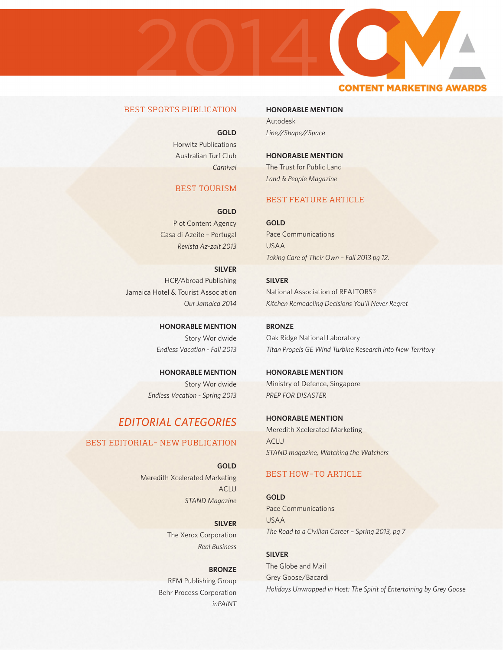

# BEST SPORTS PUBLICATION

**GOLD**

Horwitz Publications Australian Turf Club *Carnival*

# BEST TOURISM

**GOLD** Plot Content Agency Casa di Azeite – Portugal *Revista Az-zait 2013*

**SILVER** HCP/Abroad Publishing Jamaica Hotel & Tourist Association *Our Jamaica 2014*

> **HONORABLE MENTION** Story Worldwide *Endless Vacation - Fall 2013*

**HONORABLE MENTION** Story Worldwide *Endless Vacation - Spring 2013*

# *EDITORIAL CATEGORIES*

# BEST EDITORIAL- NEW PUBLICATION

**GOLD** Meredith Xcelerated Marketing ACLU *STAND Magazine*

> **SILVER** The Xerox Corporation *Real Business*

**BRONZE** REM Publishing Group Behr Process Corporation *inPAINT*

**HONORABLE MENTION** Autodesk

*Line//Shape//Space*

**HONORABLE MENTION** The Trust for Public Land *Land & People Magazine*

# BEST FEATURE ARTICLE

**GOLD** Pace Communications USAA *Taking Care of Their Own – Fall 2013 pg 12.*

**SILVER** National Association of REALTORS® *Kitchen Remodeling Decisions You'll Never Regret*

**BRONZE** Oak Ridge National Laboratory *Titan Propels GE Wind Turbine Research into New Territory*

**HONORABLE MENTION** Ministry of Defence, Singapore *PREP FOR DISASTER*

**HONORABLE MENTION** Meredith Xcelerated Marketing ACLU *STAND magazine, Watching the Watchers*

# BEST HOW-TO ARTICLE

**GOLD** Pace Communications USAA *The Road to a Civilian Career – Spring 2013, pg 7*

**SILVER** The Globe and Mail Grey Goose/Bacardi *Holidays Unwrapped in Host: The Spirit of Entertaining by Grey Goose*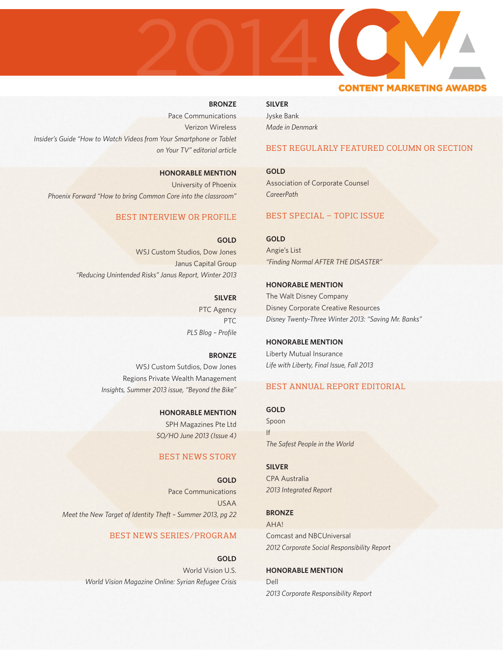# **BRONZE**

2014

2013

Pace Communications Verizon Wireless *Insider's Guide "How to Watch Videos from Your Smartphone or Tablet on Your TV" editorial article*

**HONORABLE MENTION** University of Phoenix *Phoenix Forward "How to bring Common Core into the classroom"*

# BEST INTERVIEW OR PROFILE

**GOLD** WSJ Custom Studios, Dow Jones Janus Capital Group *"Reducing Unintended Risks" Janus Report, Winter 2013*

> **SILVER** PTC Agency PTC *PLS Blog – Profile*

**BRONZE** WSJ Custom Sutdios, Dow Jones Regions Private Wealth Management *Insights, Summer 2013 issue, "Beyond the Bike"*

> **HONORABLE MENTION** SPH Magazines Pte Ltd *SO/HO June 2013 (Issue 4)*

# BEST NEWS STORY

**GOLD** Pace Communications USAA *Meet the New Target of Identity Theft – Summer 2013, pg 22*

# BEST NEWS SERIES/PROGRAM

**GOLD** World Vision U.S. *World Vision Magazine Online: Syrian Refugee Crisis*

**SILVER** Jyske Bank *Made in Denmark*

# BEST REGULARLY FEATURED COLUMN OR SECTION

**CONTENT MARKETING AWAI** 

**GOLD** Association of Corporate Counsel *CareerPath*

# BEST SPECIAL – TOPIC ISSUE

**GOLD** Angie's List *"Finding Normal AFTER THE DISASTER"*

**HONORABLE MENTION** The Walt Disney Company Disney Corporate Creative Resources *Disney Twenty-Three Winter 2013: "Saving Mr. Banks"*

**HONORABLE MENTION** Liberty Mutual Insurance *Life with Liberty, Final Issue, Fall 2013*

# BEST ANNUAL REPORT EDITORIAL

**GOLD** Spoon If *The Safest People in the World*

**SILVER** CPA Australia *2013 Integrated Report*

**BRONZE** AHA! Comcast and NBCUniversal *2012 Corporate Social Responsibility Report*

**HONORABLE MENTION** Dell *2013 Corporate Responsibility Report*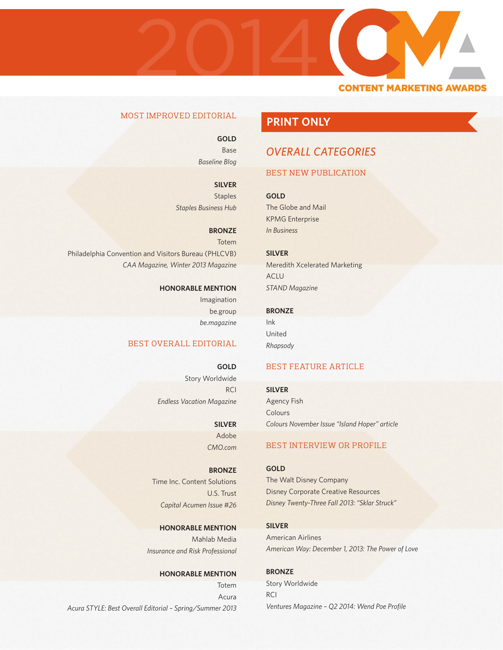

# MOST IMPROVED EDITORIAL

**GOLD** Base *Baseline Blog*

**SILVER Staples** *Staples Business Hub*

**BRONZE** Totem Philadelphia Convention and Visitors Bureau (PHLCVB) *CAA Magazine, Winter 2013 Magazine*

> **HONORABLE MENTION** Imagination be.group *be.magazine*

# BEST OVERALL EDITORIAL

**GOLD** Story Worldwide RCI *Endless Vacation Magazine*

> **SILVER** Adobe *CMO.com*

**BRONZE** Time Inc. Content Solutions U.S. Trust *Capital Acumen Issue #26*

**HONORABLE MENTION** Mahlab Media *Insurance and Risk Professional*

**HONORABLE MENTION**

**Totem** Acura *Acura STYLE: Best Overall Editorial – Spring/Summer 2013*

# **PRINT ONLY**

# *OVERALL CATEGORIES*

# BEST NEW PUBLICATION

**GOLD** The Globe and Mail KPMG Enterprise *In Business*

**SILVER** Meredith Xcelerated Marketing ACLU *STAND Magazine*

**BRONZE** Ink United *Rhapsody*

# BEST FEATURE ARTICLE

**SILVER**

Agency Fish Colours *Colours November Issue "Island Hoper" article*

# BEST INTERVIEW OR PROFILE

**GOLD** The Walt Disney Company

Disney Corporate Creative Resources *Disney Twenty-Three Fall 2013: "Sklar Struck"*

**SILVER** American Airlines *American Way: December 1, 2013: The Power of Love*

**BRONZE** Story Worldwide RCI *Ventures Magazine – Q2 2014: Wend Poe Profile*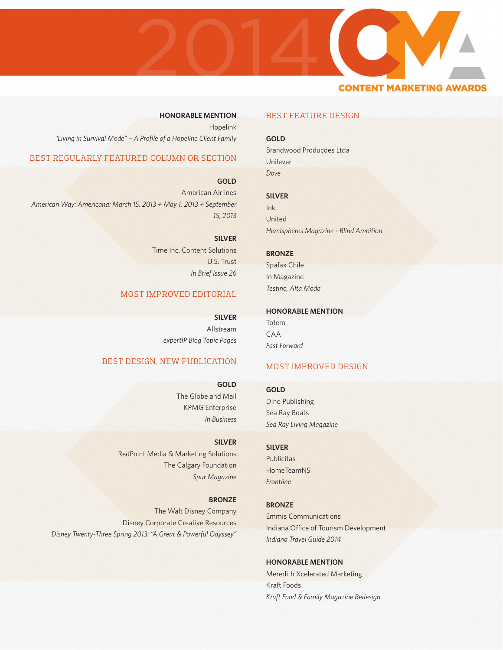

# **HONORABLE MENTION**

**GOLD**

Brandwood Produções Ltda Unilever *Dove*

BEST FEATURE DESIGN

# **SILVER**

Ink United *Hemispheres Magazine - Blind Ambition*

# **BRONZE**

Spafax Chile In Magazine *Testino, Alta Moda*

# **HONORABLE MENTION**

Totem CAA *Fast Forward*

# MOST IMPROVED DESIGN

### **GOLD**

Dino Publishing Sea Ray Boats *Sea Ray Living Magazine*

# **SILVER**

**Publicitas HomeTeamNS** *Frontline*

### **BRONZE**

Emmis Communications Indiana Office of Tourism Development *Indiana Travel Guide 2014*

# **HONORABLE MENTION**

Meredith Xcelerated Marketing Kraft Foods *Kraft Food & Family Magazine Redesign*

# Hopelink *"Living in Survival Mode" – A Profile of a Hopeline Client Family*

# BEST REGULARLY FEATURED COLUMN OR SECTION

**GOLD**

American Airlines *American Way: Americana: March 15, 2013 + May 1, 2013 + September 15, 2013*

> **SILVER** Time Inc. Content Solutions U.S. Trust *In Brief Issue 26*

# MOST IMPROVED EDITORIAL

**SILVER** Allstream *expertIP Blog Topic Pages*

# BEST DESIGN, NEW PUBLICATION

**GOLD** The Globe and Mail KPMG Enterprise *In Business*

# **SILVER**

RedPoint Media & Marketing Solutions The Calgary Foundation *Spur Magazine*

### **BRONZE**

The Walt Disney Company Disney Corporate Creative Resources *Disney Twenty-Three Spring 2013: "A Great & Powerful Odyssey"*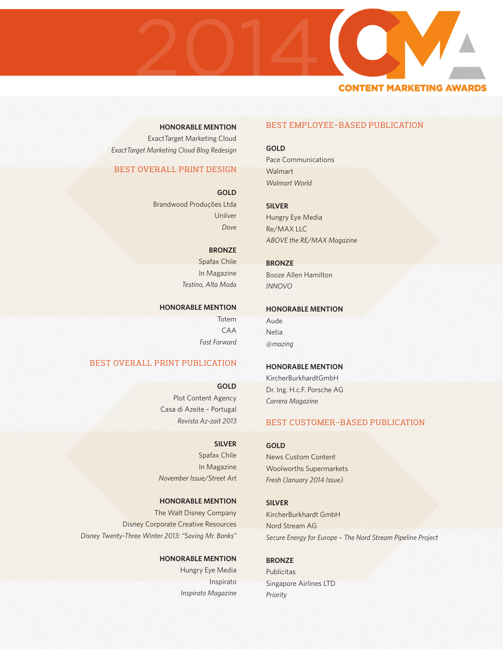

**HONORABLE MENTION** ExactTarget Marketing Cloud *ExactTarget Marketing Cloud Blog Redesign*

# BEST OVERALL PRINT DESIGN

**GOLD** Brandwood Produções Ltda Unilver *Dove*

**BRONZE**

Spafax Chile In Magazine *Testino, Alta Moda*

### **HONORABLE MENTION**

**Totem** CAA *Fast Forward*

# BEST OVERALL PRINT PUBLICATION

**GOLD** Plot Content Agency Casa di Azeite – Portugal *Revista Az-zait 2013*

**SILVER** Spafax Chile In Magazine *November Issue/Street Art*

**HONORABLE MENTION** The Walt Disney Company Disney Corporate Creative Resources *Disney Twenty-Three Winter 2013: "Saving Mr. Banks"*

> **HONORABLE MENTION** Hungry Eye Media Inspirato *Inspirato Magazine*

# BEST EMPLOYEE-BASED PUBLICATION

**GOLD** Pace Communications **Walmart** *Walmart World*

**SILVER** Hungry Eye Media Re/MAX LLC *ABOVE the RE/MAX Magazine*

**BRONZE** Booze Allen Hamilton *INNOVO*

### **HONORABLE MENTION**

Aude Netia *@mazing*

# **HONORABLE MENTION**

KircherBurkhardtGmbH Dr. Ing. H.c.F. Porsche AG *Carrera Magazine*

# BEST CUSTOMER-BASED PUBLICATION

News Custom Content Woolworths Supermarkets *Fresh (January 2014 Issue)*

# **SILVER**

**GOLD**

KircherBurkhardt GmbH Nord Stream AG *Secure Energy for Europe – The Nord Stream Pipeline Project*

**BRONZE**

Publicitas Singapore Airlines LTD *Priority*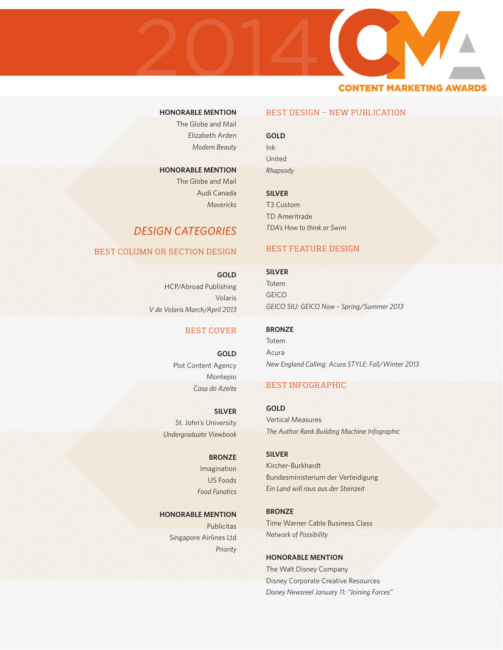

# **HONORABLE MENTION**

The Globe and Mail Elizabeth Arden *Modern Beauty*

**HONORABLE MENTION** The Globe and Mail Audi Canada *Mavericks*

# *DESIGN CATEGORIES*

# BEST COLUMN OR SECTION DESIGN

**GOLD** HCP/Abroad Publishing Volaris *V de Volaris March/April 2013*

# BEST COVER

**GOLD** Plot Content Agency Montepio *Casa do Azeite*

**SILVER** St. John's University *Undergraduate Viewbook*

> **BRONZE** Imagination US Foods

*Food Fanatics*

# **HONORABLE MENTION**

**Publicitas** Singapore Airlines Ltd *Priority*

# BEST DESIGN – NEW PUBLICATION

**GOLD** Ink United

*Rhapsody*

**SILVER** T3 Custom TD Ameritrade *TDA's How to think or Swim*

# BEST FEATURE DESIGN

**SILVER** Totem **GEICO** *GEICO SIU: GEICO Now – Spring/Summer 2013*

**BRONZE** Totem Acura *New England Calling: Acura STYLE: Fall/Winter 2013*

# BEST INFOGRAPHIC

**GOLD** Vertical Measures *The Author Rank Building Machine Infographic*

**SILVER** Kircher-Burkhardt Bundesministerium der Verteidigung *Ein Land will raus aus der Steinzeit*

**BRONZE** Time Warner Cable Business Class *Network of Possibility*

**HONORABLE MENTION** The Walt Disney Company Disney Corporate Creative Resources *Disney Newsreel January 11: "Joining Forces"*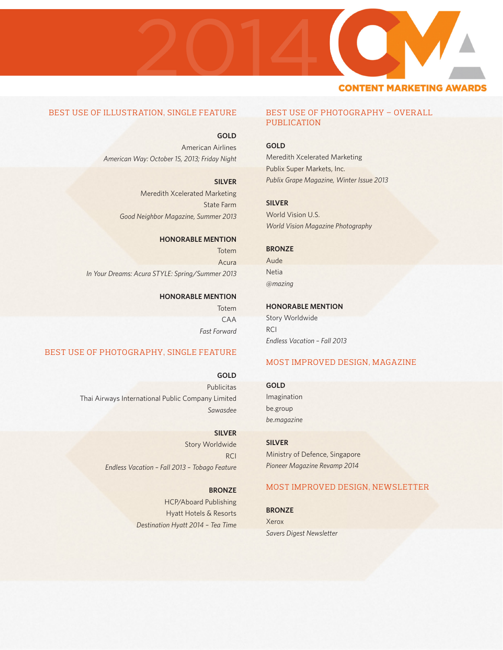# 20142013 **CONTENT MARKETING AWAR**

# BEST USE OF ILLUSTRATION, SINGLE FEATURE

**GOLD** American Airlines *American Way: October 15, 2013; Friday Night*

**SILVER**

Meredith Xcelerated Marketing State Farm *Good Neighbor Magazine, Summer 2013*

# **HONORABLE MENTION**

Totem Acura *In Your Dreams: Acura STYLE: Spring/Summer 2013*

# **HONORABLE MENTION**

Totem CAA *Fast Forward*

# BEST USE OF PHOTOGRAPHY, SINGLE FEATURE

**GOLD**

Publicitas Thai Airways International Public Company Limited *Sawasdee*

# **SILVER** Story Worldwide

**RCI** *Endless Vacation – Fall 2013 – Tobago Feature*

> **BRONZE** HCP/Aboard Publishing Hyatt Hotels & Resorts *Destination Hyatt 2014 – Tea Time*

# BEST USE OF PHOTOGRAPHY – OVERALL PUBLICATION

# **GOLD**

Meredith Xcelerated Marketing Publix Super Markets, Inc. *Publix Grape Magazine, Winter Issue 2013*

# **SILVER**

World Vision U.S. *World Vision Magazine Photography*

# **BRONZE**

Aude Netia *@mazing*

# **HONORABLE MENTION**

Story Worldwide RCI *Endless Vacation – Fall 2013*

# MOST IMPROVED DESIGN, MAGAZINE

### **GOLD**

Imagination be.group *be.magazine*

**SILVER** Ministry of Defence, Singapore *Pioneer Magazine Revamp 2014*

# MOST IMPROVED DESIGN, NEWSLETTER

**BRONZE**

Xerox *Savers Digest Newsletter*